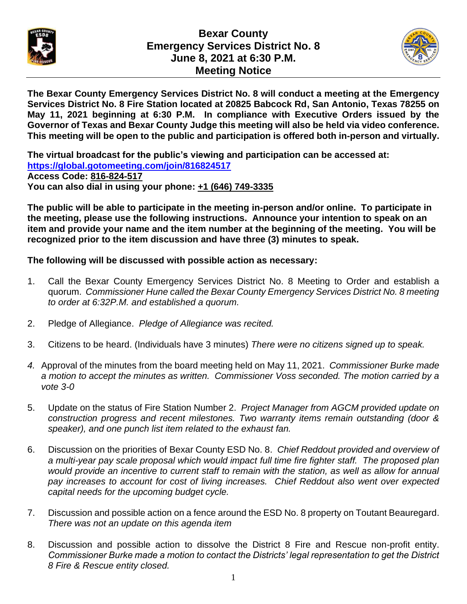

## **Bexar County Emergency Services District No. 8 June 8, 2021 at 6:30 P.M. Meeting Notice**



**The Bexar County Emergency Services District No. 8 will conduct a meeting at the Emergency Services District No. 8 Fire Station located at 20825 Babcock Rd, San Antonio, Texas 78255 on May 11, 2021 beginning at 6:30 P.M. In compliance with Executive Orders issued by the Governor of Texas and Bexar County Judge this meeting will also be held via video conference. This meeting will be open to the public and participation is offered both in-person and virtually.** 

**The virtual broadcast for the public's viewing and participation can be accessed at: https://global.gotomeeting.com/join/816824517 Access Code: 816-824-517 You can also dial in using your phone: +1 (646) 749-3335**

**The public will be able to participate in the meeting in-person and/or online. To participate in the meeting, please use the following instructions. Announce your intention to speak on an item and provide your name and the item number at the beginning of the meeting. You will be recognized prior to the item discussion and have three (3) minutes to speak.**

**The following will be discussed with possible action as necessary:**

- 1. Call the Bexar County Emergency Services District No. 8 Meeting to Order and establish a quorum. *Commissioner Hune called the Bexar County Emergency Services District No. 8 meeting to order at 6:32P.M. and established a quorum.*
- 2. Pledge of Allegiance. *Pledge of Allegiance was recited.*
- 3. Citizens to be heard. (Individuals have 3 minutes) *There were no citizens signed up to speak.*
- *4.* Approval of the minutes from the board meeting held on May 11, 2021. *Commissioner Burke made a motion to accept the minutes as written. Commissioner Voss seconded. The motion carried by a vote 3-0*
- 5. Update on the status of Fire Station Number 2. *Project Manager from AGCM provided update on construction progress and recent milestones. Two warranty items remain outstanding (door & speaker), and one punch list item related to the exhaust fan.*
- 6. Discussion on the priorities of Bexar County ESD No. 8. *Chief Reddout provided and overview of a multi-year pay scale proposal which would impact full time fire fighter staff. The proposed plan would provide an incentive to current staff to remain with the station, as well as allow for annual pay increases to account for cost of living increases. Chief Reddout also went over expected capital needs for the upcoming budget cycle.*
- 7. Discussion and possible action on a fence around the ESD No. 8 property on Toutant Beauregard. *There was not an update on this agenda item*
- 8. Discussion and possible action to dissolve the District 8 Fire and Rescue non-profit entity. *Commissioner Burke made a motion to contact the Districts' legal representation to get the District 8 Fire & Rescue entity closed.*